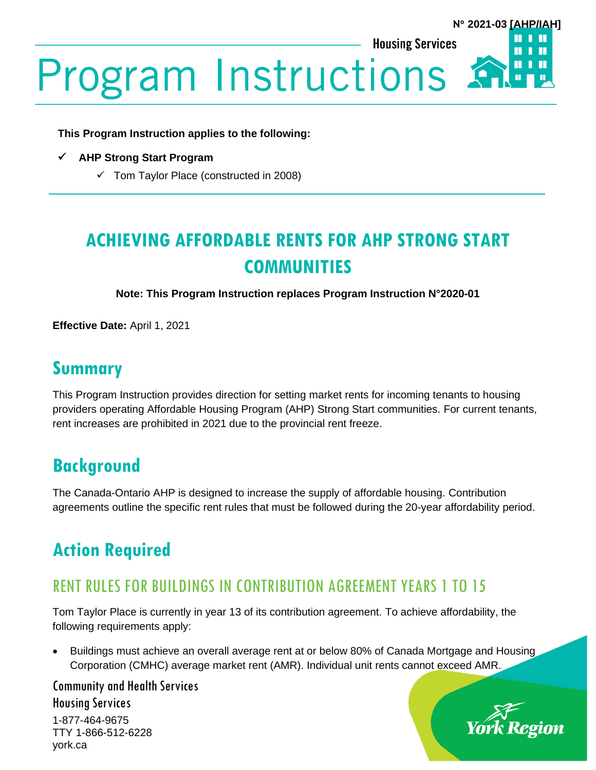**This Program Instruction applies to the following:**

- ✓ **AHP Strong Start Program**
	- $\checkmark$  Tom Taylor Place (constructed in 2008)

# **ACHIEVING AFFORDABLE RENTS FOR AHP STRONG START COMMUNITIES**

**Note: This Program Instruction replaces Program Instruction N°2020-01**

**Effective Date:** April 1, 2021

#### **Summary**

This Program Instruction provides direction for setting market rents for incoming tenants to housing providers operating Affordable Housing Program (AHP) Strong Start communities. For current tenants, rent increases are prohibited in 2021 due to the provincial rent freeze.

## **Background**

The Canada-Ontario AHP is designed to increase the supply of affordable housing. Contribution agreements outline the specific rent rules that must be followed during the 20-year affordability period.

## **Action Required**

#### RENT RULES FOR BUILDINGS IN CONTRIBUTION AGREEMENT YEARS 1 TO 15

Tom Taylor Place is currently in year 13 of its contribution agreement. To achieve affordability, the following requirements apply:

• Buildings must achieve an overall average rent at or below 80% of Canada Mortgage and Housing Corporation (CMHC) average market rent (AMR). Individual unit rents cannot exceed AMR.

Community and Health Services Housing Services 1-877-464-9675

TTY 1-866-512-6228 york.ca



**N 2021-03 [AHP/IAH]**

П

Ш

П